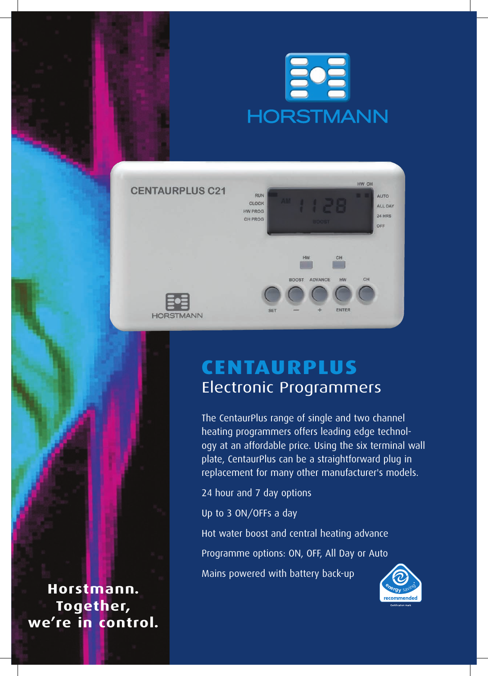



# **CentaurPlus** Electronic Programmers

The CentaurPlus range of single and two channel heating programmers offers leading edge technology at an affordable price. Using the six terminal wall plate, CentaurPlus can be a straightforward plug in replacement for many other manufacturer's models.

24 hour and 7 day options

Up to 3 ON/OFFs a day

Hot water boost and central heating advance Programme options: ON, OFF, All Day or Auto Mains powered with battery back-up



**Horstmann. Together, we're in control.**